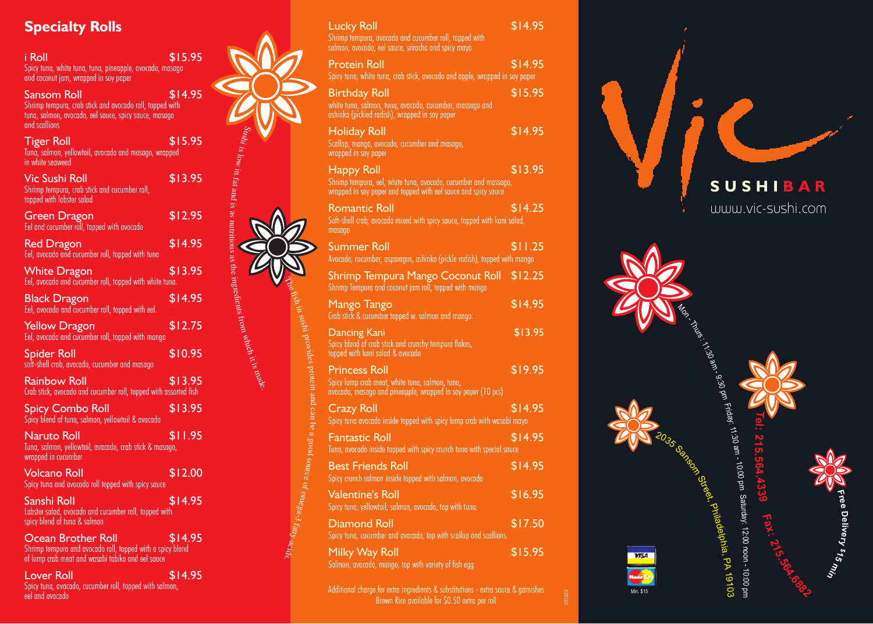# **Specialty Rolls**

| <u>i Roll</u><br>Spicy tuna, white tuna, tuna, pineapple, avocado, masago<br>and coconut jam, wrapped in soy paper                                | \$15.95 |                                              |
|---------------------------------------------------------------------------------------------------------------------------------------------------|---------|----------------------------------------------|
| Sansom Roll<br>Shrimp tempura, crab stick and avocado roll, topped with<br>tuna, salmon, avocado, eel sauce, spicy sauce, masago<br>and scallions | \$14.95 |                                              |
| Tiger Roll<br>Tuna, salmon, yellowtail, avocado and masago, wrapped<br>in white seaweed                                                           | \$15.95 |                                              |
| Vic Sushi Roll<br>Shrimp tempura, crab stick and cucumber roll,<br>topped with lobster salad                                                      | \$13.95 |                                              |
| <b>Green Dragon</b><br>Eel and cucumber roll, topped with avocado                                                                                 | \$12.95 |                                              |
| <b>Red Dragon</b><br>Eel, avocado and cucumber roll, topped with tuna                                                                             | \$14.95 | $\sim$ 400 $\mu$ 3.8 nutritious as the $\mu$ |
| <b>White Dragon</b><br>Eel, avocado and cucumber roll, topped with white tuna.                                                                    | \$13.95 |                                              |
| <b>Black Dragon</b><br>Eel, avocado and cucumber roll, topped with eel.                                                                           | \$14.95 |                                              |
| <b>Yellow Dragon</b><br>Eel, avocado and cucumber roll, topped with mango                                                                         | \$12.75 |                                              |
| Spider Roll<br>soft-shell crab, avocado, cucumber and masago                                                                                      | \$10.95 |                                              |
| Rainbow Roll<br>Crab stick, avocado and cucumber roll, topped with assorted fish                                                                  | \$13.95 |                                              |
| Spicy Combo Roll<br>Spicy blend of tuna, salmon, yellowtail & avacado                                                                             | \$13.95 |                                              |
| Naruto Roll<br>Tuna, salmon, yellowtail, avacado, crab stick & masago,<br>wrapped in cucumber                                                     | \$11.95 |                                              |
| <u>Vol</u> cano Roll<br>Spicy tuna and avocado roll topped with spicy sauce                                                                       | \$12.00 |                                              |
| Sanshi Roll<br>Lobster salad, avocado and cucumber roll, topped with<br>spicy blend of tuna & salmon                                              | \$14.95 |                                              |
| <b>Ocean Brother Roll</b><br>Shrimp tempura and avocado roll, topped with a spicy blend<br>of lump crab meat and wasabi tobiko and eel sauce      | \$14.95 |                                              |
| <b>Lover Roll</b>                                                                                                                                 | \$14.95 |                                              |

| <b>Specialty Rolls</b>                                                                                                                                   |         |                                                                                                                                                         |                                                               | <b>Lucky Roll</b><br>Shrimp tempura, avocado and cucumber roll, topped with                                                                                                                | \$14.95 |
|----------------------------------------------------------------------------------------------------------------------------------------------------------|---------|---------------------------------------------------------------------------------------------------------------------------------------------------------|---------------------------------------------------------------|--------------------------------------------------------------------------------------------------------------------------------------------------------------------------------------------|---------|
| i Roll<br>Spicy tuna, white tuna, tuna, pineapple, avocado, masago<br>and coconut jam, wrapped in soy paper                                              | \$15.95 |                                                                                                                                                         |                                                               | salmon, avocado, eel sauce, sriracha and spicy mayo<br><b>Protein Roll</b><br>Spicy tuna, white tuna, crab stick, avocado and apple, wrapped in soy paper                                  | \$14.95 |
| <b>Sansom Roll</b><br>Shrimp tempura, crab stick and avocado roll, topped with<br>tuna, salmon, avocado, eel sauce, spicy sauce, masago<br>and scallions | \$14.95 |                                                                                                                                                         |                                                               | <b>Birthday Roll</b><br>white tuna, salmon, tuna, avocado, cucumber, massago and<br>oshinko (pickled radish), wrapped in soy paper                                                         | \$15.95 |
| Tiger Roll<br>Tuna, salmon, yellowtail, avocado and masago, wrapped<br>in white seaweed                                                                  | \$15.95 |                                                                                                                                                         |                                                               | <b>Holiday Roll</b><br>Scallop, mango, avocado, cucumber and masago,<br>wrapped in soy paper                                                                                               | \$14.95 |
| Vic Sushi Roll<br>Shrimp tempura, crab stick and cucumber roll,<br>topped with lobster salad                                                             | \$13.95 | Sushi is low in fat and is as nutritious as the ingredients from which it is $\log w$ in fat and is as nutritious as the ingredients from which it is a |                                                               | <b>Happy Roll</b><br>Shrimp tempura, eel, white tuna, avocado, cucumber and massago,<br>wrapped in soy paper and topped with eel sauce and spicy sauce                                     | \$13.95 |
| Green Dragon<br>Eel and cucumber roll, topped with avocado                                                                                               | \$12.95 |                                                                                                                                                         |                                                               | <b>Romantic Roll</b><br>Soft-shell crab, avocado mixed with spicy sauce, topped with kani salad,<br>masago                                                                                 | \$14.25 |
| <b>Red Dragon</b><br>Eel, avocado and cucumber roll, topped with tuna                                                                                    | \$14.95 |                                                                                                                                                         |                                                               | <b>Summer Roll</b>                                                                                                                                                                         | \$11.25 |
| <b>White Dragon</b><br>Eel, avocado and cucumber roll, topped with white tuna.                                                                           | \$13.95 |                                                                                                                                                         |                                                               | Avocado, cucumber, asparagus, oshinko (pickle radish), topped with mango<br><b>Shrimp Tempura Mango Coconut Roll</b><br>Shrimp Tempura and coconut jam roll, topped with mango             | \$12.25 |
| <b>Black Dragon</b><br>Eel, avocado and cucumber roll, topped with eel.                                                                                  | \$14.95 |                                                                                                                                                         |                                                               | Mango Tango                                                                                                                                                                                | \$14.95 |
| <b>Yellow Dragon</b><br>Eel, avocado and cucumber roll, topped with mango                                                                                | \$12.75 |                                                                                                                                                         |                                                               | Crab stick & cucumber topped w. salmon and mango.<br><b>Dancing Kani</b>                                                                                                                   | \$13.95 |
| <b>Spider Roll</b><br>soft-shell crab, avocado, cucumber and masago                                                                                      | \$10.95 |                                                                                                                                                         |                                                               | Spicy blend of crab stick and crunchy tempura flakes,<br>topped with kani salad & avocado                                                                                                  |         |
| <b>Rainbow Roll</b><br>Crab stick, avocado and cucumber roll, topped with assorted fish                                                                  | \$13.95 |                                                                                                                                                         | shin sushi provides protein and                               | <b>Princess Roll</b><br>Spicy lump crab meat, white tuna, salmon, tuna,<br>avocado, masago and pineapple, wrapped in soy paper (10 pcs)                                                    | \$19.95 |
| <b>Spicy Combo Roll</b><br>Spicy blend of tuna, salmon, yellowtail & avacado                                                                             | \$13.95 |                                                                                                                                                         |                                                               | <b>Crazy Roll</b><br>Spicy tuna avocado inside topped with spicy lump crab with wasabi mayo                                                                                                | \$14.95 |
| <b>Naruto Roll</b><br>Tuna, salmon, yellow <u>tail, avacado, crab stick &amp; masago,</u><br>wrapped in cucumber                                         | \$11.95 |                                                                                                                                                         | can be a good source of o $m$ ega-3 $f_{{\hat{a}}lly}$ acids, | <b>Fantastic Roll</b><br>Tuna, avocado inside topped with spicy crunch tuna with special sauce                                                                                             | \$14.95 |
| <b>Volcano Roll</b><br>Spicy tuna and avocado roll topped with spicy sauce                                                                               | \$12.00 |                                                                                                                                                         |                                                               | <b>Best Friends Roll</b><br>Spicy crunch salmon inside topped with salmon, avocado                                                                                                         | \$14.95 |
| Sanshi Roll<br>Lobster salad, avocado and cucumber roll, topped with                                                                                     | \$14.95 |                                                                                                                                                         |                                                               | <b>Valentine's Roll</b><br>Spicy tuna, yellowtail, salmon, avocado, top with tuna.                                                                                                         | \$16.95 |
| spicy blend of tuna & salmon                                                                                                                             |         |                                                                                                                                                         |                                                               | <b>Diamond Roll</b><br>Spicy tuna, cucumber and avocado, top with scallop and scallions.                                                                                                   | \$17.50 |
| <b>Ocean Brother Roll</b><br>Shrimp tempura and avocado roll, topped with a spicy blend<br>of lump crab meat and wasabi tobiko and eel sauce             | \$14.95 |                                                                                                                                                         |                                                               | Milky Way Roll                                                                                                                                                                             | \$15.95 |
| <b>Lover Roll</b><br>Spicy tuna, avacado, cucumber roll, topped with salmon,<br>eel and avocado                                                          | \$14.95 |                                                                                                                                                         |                                                               | Salmon, avocado, mango, top with variety of fish egg<br>Additional charge for extra ingredients & substitutions - extra sauce & garnishes<br>Rrown Pico quailable for CO 50 ovtra per roll |         |

Brown Rice available for \$0.50 extra per roll